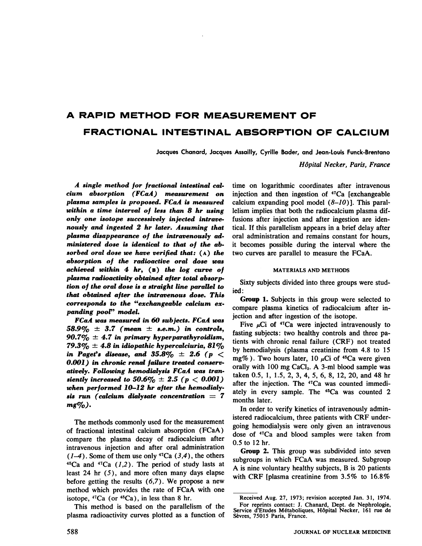# **A RAPID METHOD FOR MEASUREMENT OF FRACTIONAL INTESTINAL ABSORPTION OF CALCIUM**

**Jacques Chanard, Jacques Assailly, CyriUe Bader, and Jean-Louis Funck-Brentano**

*Hôpital Necker, Paris, France*

A single method for fractional intestinal cal*cium absorption (FCaA) measurement on plasma samples is proposed. FCaA is measured within a time interval of less than 8 hr using only one isotope successively injected mt rave nously and ingested 2 hr later. Assuming that plasma disappearance of the intravenously ad ministered dose is identical to that of the ab sorbed oral dose we have verified that: (A) the absorption of the radioactive oral dose was achieved within 4 hr, (B) the log curve of plasma radioactivity obtained after total absorp tion of the oral dose is a straight line parallel to that obtained after the intravenous dose. This corresponds to the "exchangeable calcium ex panding poor' model.*

*FCaA was measured in 60 subjects. FCaA was 58.9% ± 3.7 (mean ± s.e.m.) in controls,* 90.7 $\%$  ± 4.7 in primary hyperparathyroidism, 79.3%  $\pm$  4.8 in idiopathic hypercalciuria, 81% *in Paget's disease, and 35.8% ± 2.6 (p < 0.001) in chronic renal failure treated conserv atively. Following hemodialysis FCaA was tran siently increased to*  $50.6\% \pm 2.5$  ( $p < 0.001$ ) *when performed 10-12 hr after the hemodialy sis run (calcium dialysate concentration = 7*  $mg\%$ ).

The methods commonly used for the measurement of fractional intestinal calcium absorption (FCaA) compare the plasma decay of radiocalcium after intravenous injection and after oral administration  $(1-4)$ . Some of them use only <sup>47</sup>Ca  $(3,4)$ , the others  $45Ca$  and  $47Ca$  (1,2). The period of study lasts at least 24 hr  $(5)$ , and more often many days elapse before getting the results  $(6,7)$ . We propose a new method which provides the rate of FCaA with one isotope,  ${}^{47}Ca$  (or  ${}^{45}Ca$ ), in less than 8 hr.

This method is based on the parallelism of the plasma radioactivity curves plotted as a function of time on logarithmic coordinates after intravenous injection and then ingestion of  $47Ca$  [exchangeable calcium expanding pool model  $(8-10)$ ]. This parallelism implies that both the radiocalcium plasma dif fusions after injection and after ingestion are iden tical. If this parallelism appears in a brief delay after oral administration and remains constant for hours, it becomes possible during the interval where the two curves are parallel to measure the FCaA.

## MATERIALS AND METHODS

Sixty subjects divided into three groups were stud ied:

**Group 1. Subjects in this group were selected to** compare plasma kinetics of radiocalcium after in jection and after ingestion of the isotope.

Five  $\mu$ Ci of <sup>47</sup>Ca were injected intravenously to fasting subjects: two healthy controls and three patients with chronic renal failure (CRF) not treated by hemodialysis (plasma creatinine from 4.8 to 15 mg%). Two hours later, 10  $\mu$ Ci of <sup>45</sup>Ca were given orally with  $100 \text{ mg }$  CaCl<sub>2</sub>. A 3-ml blood sample was taken0.5,1,1.5,2,3,4,5,6,8,12,20,and 48 hr after the injection. The <sup>47</sup>Ca was counted immediately in every sample. The <sup>45</sup>Ca was counted 2 months later.

In order to verify kinetics of intravenously admin istered radiocalcium, three patients with CRF under going hemodialysis were only given an intravenous dose of 4TCa and blood samples were taken from *0.5 to 12 hr.*

**Group 2. This group was subdivided into seven** subgroups in which FCaA was measured. Subgroup A is nine voluntary healthy subjects, B is 20 patients with CRF [plasma creatinine from 3.5% to 16.8%

Received Aug. 27, 1973; revision accepted Jan. 3 1, 1974. For reprints contact: J. Chanard, Dept. de Nephrologie, Service d'Etudes Métaboliques, Hôpital Necker, 161 rue de Sèvres, 75015 Paris, France.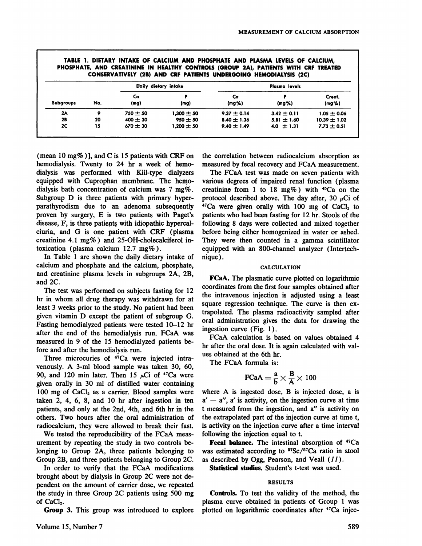|                  | CONSERVATIVELY (2B) AND CRF PATIENTS UNDERGOING HEMODIALYSIS (2C) |                      |                |                 |                    |                              |  |  |
|------------------|-------------------------------------------------------------------|----------------------|----------------|-----------------|--------------------|------------------------------|--|--|
| <b>Subgroups</b> | No.                                                               | Daily dietary intake |                | Plasma levels   |                    |                              |  |  |
|                  |                                                                   | Ca<br>(mg)           | (mg)           | Ca<br>$(mg\%)$  | (mg <sub>2</sub> ) | Creat.<br>(mg <sub>2</sub> ) |  |  |
| 2A               | o                                                                 | $750 + 50$           | $1.300 \pm 50$ | $9.37 \pm 0.14$ | $3.42 \pm 0.11$    | $1.05 \pm 0.06$              |  |  |
| 2B               | 20                                                                | $400 \pm 30$         | $950 \pm 50$   | $8.40 \pm 1.36$ | $5.81 \pm 1.60$    | $10.39 \pm 1.02$             |  |  |
| 2C               | 15                                                                | $670 \pm 30$         | $1,200 \pm 50$ | $9.40 \pm 1.49$ | 4.0 $\pm$ 1.31     | $7.73 \pm 0.51$              |  |  |

(mean 10 mg% )}, and C is 15 patients with CRF on hemodialysis. Twenty to 24 hr a week of hemo dialysis was performed with Kiil-type dialyzers equipped with Cuprophan membrane. The herno dialysis bath concentration of calcium was 7 mg%. Subgroup D is three patients with primary hyperparathyrodism due to an adenoma subsequently proven by surgery, E is two patients with Paget's disease, F, is three patients with idiopathic hypercalciuria, and G is one patient with CRF (plasma creatinine 4.1 mg%) and 25-OH-cholecalciferol intoxication (plasma calcium 12.7 mg%).

In Table 1 are shown the daily dietary intake of calcium and phosphate and the calcium, phosphate, and creatinine plasma levels in subgroups 2A, 2B, and 2C.

The test was performed on subjects fasting for 12 hr in whom all drug therapy was withdrawn for at least 3 weeks prior to the study. No patient had been given vitamin D except the patient of subgroup G. Fasting hemodialyzed patients were tested 10–12 hr after the end of the hemodialysis run. FCaA was measured in 9 of the 15 hemodialyzed patients before and after the hemodialysis run.

Three microcuries of <sup>47</sup>Ca were injected intravenously. A 3-mi blood sample was taken 30, 60, 90, and 120 min later. Then 15  $\mu$ Ci of <sup>47</sup>Ca were given orally in 30 ml of distilled water containing 100 mg of  $CaCl<sub>2</sub>$  as a carrier. Blood samples were taken 2, 4, 6, 8, and 10 hr after ingestion in ten patients, and only at the 2nd, 4th, and 6th hr in the others. Two hours after the oral administration of radiocalcium, they were allowed to break their fast.

We tested the reproducibility of the FCaA meas urement by repeating the study in two controls be longing to Group 2A, three patients belonging to Group 2B, and three patients belonging to Group 2C.

In order to verify that the FCaA modifications brought about by dialysis in Group 2C were not de pendent on the amount of carrier dose, we repeated the study in three Group 2C patients using 500 mg of CaCl<sub>2</sub>.

Group 3. This group was introduced to explore

the correlation between radiocalcium absorption as measured by fecal recovery and FCaA measurement.

The FCaA test was made on seven patients with various degrees of impaired renal function (plasma creatinine from 1 to 18 mg%) with  $45Ca$  on the protocol described above. The day after, 30  $\mu$ Ci of  $47$ Ca were given orally with 100 mg of CaCl<sub>2</sub> to patients who had been fasting for 12 hr. Stools of the following 8 days were collected and mixed together before being either homogenized in water or ashed. They were then counted in a gamma scintillator equipped with an 800-channel analyzer (Intertech nique).

### CALCULATION

FCaA. The plasmatic curve plotted on logarithmic coordinates from the first four samples obtained after the intravenous injection is adjusted using a least square regression technique. The curve is then ex trapolated. The plasma radioactivity sampled after oral administration gives the data for drawing the ingestion curve (Fig. 1).

FCaA calculation is based on values obtained 4 hr after the oral dose. It is again calculated with values obtained at the 6th hr.

The FCaA formula is:

$$
\text{FCaA} = \frac{a}{b} \times \frac{B}{A} \times 100
$$

where A is ingested dose, B is injected dose, a is  $a' - a''$ , a' is activity, on the ingestion curve at time t measured from the ingestion, and a" is activity on the extrapolated part of the injection curve at time t, is activity on the injection curve after a time interval following the injection equal to t.

Fecal balance. The intestinal absorption of <sup>47</sup>Ca was estimated according to  $57\text{Sc}/57\text{Ca}$  ratio in stool as described by Ogg, Pearson, and Veall  $(11)$ .

Statistical studies. Student's t-test was used.

### RESULTS

Controls. To test the validity of the method, the plasma curve obtained in patients of Group 1 was plotted on logarithmic coordinates after <sup>47</sup>Ca injec-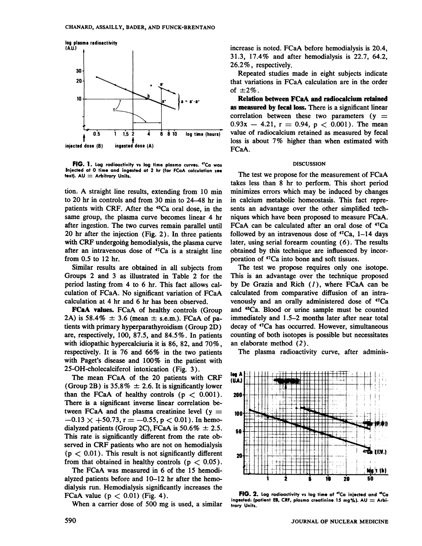

**FIG.** 1. Log radioactivity vs log time plasma curves. <sup>47</sup>Ca was **Injected at 0 time and ingested at 2 hr (for FCaA calculation see text). AU = Arbitrary Units.**

tion. A straight line results, extending from 10 min to 20 hr in controls and from 30 min to  $24-48$  hr in patients with CRF. After the 45Ca oral dose, in the same group, the plasma curve becomes linear 4 hr after ingestion. The two curves remain parallel until 20 hr after the injection (Fig. 2). In three patients with CRF undergoing hemodialysis, the plasma curve after an intravenous dose of  $47Ca$  is a straight line from 0.5 to 12 hr.

Similar results are obtained in all subjects from Groups 2 and 3 as illustrated in Table 2 for the period lasting from 4 to 6 hr. This fact allows cal culation of FCaA. No significant variation of FCaA calculation at 4 hr and 6 hr has been observed.

**FCaA values.** FCaA of healthy controls (Group 2A) is 58.4%  $\pm$  3.6 (mean  $\pm$  s.e.m.). FCaA of patients with primary hyperparathyroidism (Group 2D) are, respectively, 100, 87.5, and 84.5% . In patients with idiopathic hypercalciuria it is 86, 82, and 70%, respectively. It is 76 and 66% in the two patients with Paget's disease and 100% in the patient with 25-OH-cholecalciferol intoxication (Fig. 3).

dialyzed patients (Group 2C), FCaA is  $50.6\% \pm 2.5$ .  $\phantom{0}60\phantom{0} + \phantom{0}60\phantom{0} + \phantom{0}111$ The mean FCaA of the 20 patients with CRF (Group 2B) is 35.8%  $\pm$  2.6. It is significantly lower than the FCaA of healthy controls  $(p < 0.001)$ . There is a significant inverse linear correlation be tween FCaA and the plasma creatinine level  $(y = 100$  $-0.13 \times +50.73$ , r =  $-0.55$ , p < 0.01). In hemoserved in CRF patients who are not on hemodialysis  $(p < 0.01)$ . This result is not significantly different  $p_0$ from that obtained in healthy controls ( $p < 0.05$ ).

> The FCaA was measured in 6 of the 15 hemodi alyzed patients before and 10-12 hr after the hemodialysis run. Hemodialysis significantly increases the FCaA value ( $p < 0.01$ ) (Fig. 4).

When a carrier dose of 500 mg is used, a similar

increase is noted. FCaA before hemodialysis is 20.4, 3 1.3, 17.4% and after hemodialysis is 22.7, 64.2, 26.2% , respectively.

Repeated studies made in eight subjects indicate that variations in FCaA calculation are in the order of  $\pm 2\%$ .

Relation between FCaA and radiocalcium retained as measured by fecal loss. There is a significant linear correlation between these two parameters  $(y =$  $0.93x - 4.21$ ,  $r = 0.94$ ,  $p < 0.001$ ). The mean value of radiocalcium retained as measured by fecal loss is about 7% higher than when estimated with FCaA.

#### DISCUSSION

The test we propose for the measurement of FCaA takes less than 8 hr to perform. This short period minimizes errors which may be induced by changes in calcium metabolic homeostasis. This fact repre sents an advantage over the other simplified tech niques which have been proposed to measure FCaA. FCaA can be calculated after an oral dose of  $47Ca$ followed by an intravenous dose of  $47Ca$ , 1–14 days later, using serial forearm counting  $(6)$ . The results obtained by this technique are influenced by incor poration of 47Ca into bone and soft tissues.

The test we propose requires only one isotope. This is an advantage over the technique proposed by De Grazia and Rich  $(1)$ , where FCaA can be calculated from comparative diffusion of an intra venously and an orally administered dose of <sup>47</sup>Ca and 45Ca. Blood or urine sample must be counted immediately and 1.5–2 months later after near total decay of <sup>47</sup>Ca has occurred. However, simultaneous counting of both isotopes is possible but necessitates an elaborate method (2).

The plasma radioactivity curve, after adminis-



**FIG.** 2. Log radioactivity vs log time of "Ca injected and "Ca **ingested:(patient EM,CRF,plasma creotinine 15 mg%). AU Arbi trary Units.**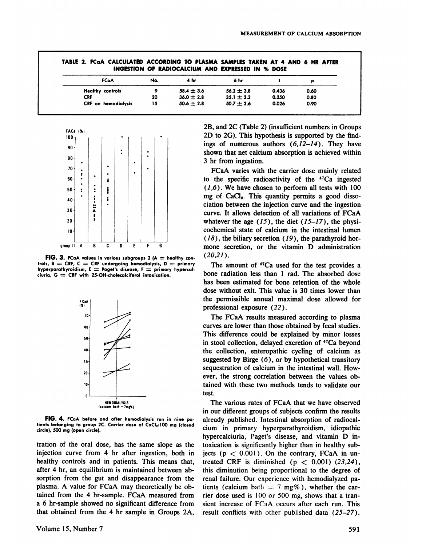|                            |     | INGESTION OF RADIOCALCIUM AND EXPRESSED IN % DOSE |                |       |      |
|----------------------------|-----|---------------------------------------------------|----------------|-------|------|
| <b>FCaA</b>                | No. | 4 hr                                              | 6 hr           |       |      |
| <b>Healthy controls</b>    |     | $58.4 \pm 3.6$                                    | $56.2 \pm 3.8$ | 0.436 | 0.60 |
| <b>CRF</b>                 | 20  | $36.0 \pm 2.8$                                    | $35.1 \pm 2.3$ | 0.250 | 0.80 |
| <b>CRF</b> on hemodialysis | 15  | $50.6 \pm 2.8$                                    | $50.7 \pm 2.6$ | 0.026 | 0.90 |



**FIG. 3. FCaAvaluesin varioussubgroups2 (A healthycon trols, B =CRF, C = CRF undergoing hemodialysis, D primary**  $h$ yperparathyroidism,  $E =$  Paget's disease,  $F =$  primary hypercal**ciuria, G = CRF with 25-OH-cholecalciferol intoxication.**



**FIG. 4. FCaAbeforeand after hemodialysisrun in nine pa tients belonging to group 2C. Carrier dose of CaCI,:100 mg (closed circle), 500 mg (open circle).**

tration of the oral dose, has the same slope as the injection curve from 4 hr after ingestion, both in healthy controls and in patients. This means that, after 4 hr, an equilibrium is maintained between ab sorption from the gut and disappearance from the plasma. A value for FCaA may theoretically be ob tamed from the 4 hr-sample. FCaA measured from a 6 hr-sample showed no significant difference from that obtained from the 4 hrsample in Groups 2A,

2B, and 2C (Table 2) (insufficient numbers in Groups 2D to 2G). This hypothesis is supported by the find ings of numerous authors  $(6,12-14)$ . They have shown that net calcium absorption is achieved within 3 hr from ingestion.

FCaA varies with the carrier dose mainly related to the specific radioactivity of the  $47Ca$  ingested  $(1,6)$ . We have chosen to perform all tests with  $100$ mg of  $CaCl<sub>2</sub>$ . This quantity permits a good dissociation between the injection curve and the ingestion curve. It allows detection of all variations of FCaA whatever the age  $(15)$ , the diet  $(15-17)$ , the physicochemical state of calcium in the intestinal lumen  $(18)$ , the biliary secretion  $(19)$ , the parathyroid hormone secretion, or the vitamin D administration **(20,21).**

The amount of <sup>47</sup>Ca used for the test provides a bone radiation less than 1 rad. The absorbed dose has been estimated for bone retention of the whole dose without exit. This value is 30 times lower than the permissible annual maximal dose allowed for professional exposure (22).

The FCaA results measured according to plasma curves are lower than those obtained by fecal studies. This difference could be explained by minor losses in stool collection, delayed excretion of 47Ca beyond the collection, enteropathic cycling of calcium as suggested by Birge  $(6)$ , or by hypothetical transitory sequestration of calcium in the intestinal wall. How ever, the strong correlation between the values oh tamed with these two methods tends to validate our test.

The various rates of FCaA that we have observed in our different groups of subjects confirm the results already published. Intestinal absorption of radiocal cium in primary hyperparathyroidism, idiopathic hypercalciuria, Paget's disease, and vitamin D in toxication is significantly higher than in healthy sub jects ( $p < 0.001$ ). On the contrary, FCaA in untreated CRF is diminished ( $p < 0.001$ ) (23,24), this diminution being proportional to the degree of renal failure. Our experience with hemodialyzed pa tients (calcium bath  $=7$  mg%), whether the carrier dose used is 100 or 500 mg, shows that a tran sient increase of FCaA occurs after each run. This result conflicts with other published data (25—27).